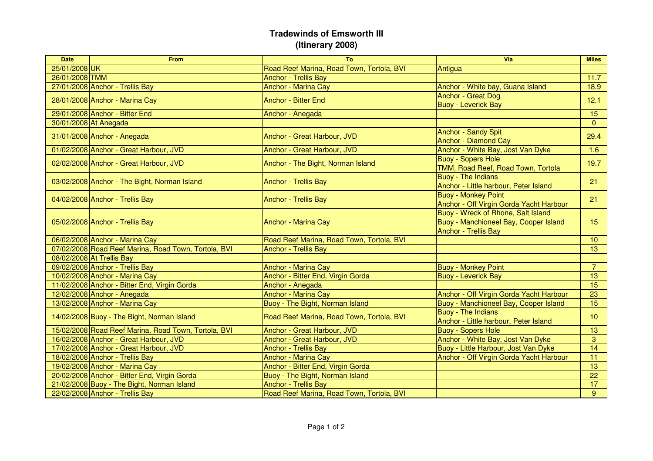## **Tradewinds of Emsworth III(Itinerary 2008)**

| <b>Date</b>    | <b>From</b>                                          | To                                        | Via                                                                                                        | <b>Miles</b>    |
|----------------|------------------------------------------------------|-------------------------------------------|------------------------------------------------------------------------------------------------------------|-----------------|
| 25/01/2008 UK  |                                                      | Road Reef Marina, Road Town, Tortola, BVI | Antigua                                                                                                    |                 |
| 26/01/2008 TMM |                                                      | <b>Anchor - Trellis Bay</b>               |                                                                                                            | 11.7            |
|                | 27/01/2008 Anchor - Trellis Bay                      | <b>Anchor - Marina Cay</b>                | Anchor - White bay, Guana Island                                                                           | 18.9            |
|                | 28/01/2008 Anchor - Marina Cay                       | <b>Anchor - Bitter End</b>                | <b>Anchor - Great Dog</b><br><b>Buoy - Leverick Bay</b>                                                    | 12.1            |
|                | 29/01/2008 Anchor - Bitter End                       | Anchor - Anegada                          |                                                                                                            | 15              |
|                | 30/01/2008 At Anegada                                |                                           |                                                                                                            | $\Omega$        |
|                | 31/01/2008 Anchor - Anegada                          | Anchor - Great Harbour, JVD               | <b>Anchor - Sandy Spit</b><br><b>Anchor - Diamond Cay</b>                                                  | 29.4            |
|                | 01/02/2008 Anchor - Great Harbour, JVD               | Anchor - Great Harbour, JVD               | Anchor - White Bay, Jost Van Dyke                                                                          | 1.6             |
|                | 02/02/2008 Anchor - Great Harbour, JVD               | Anchor - The Bight, Norman Island         | <b>Buoy - Sopers Hole</b><br>TMM, Road Reef, Road Town, Tortola                                            | 19.7            |
|                | 03/02/2008 Anchor - The Bight, Norman Island         | <b>Anchor - Trellis Bay</b>               | <b>Buoy - The Indians</b><br>Anchor - Little harbour, Peter Island                                         | 21              |
|                | 04/02/2008 Anchor - Trellis Bay                      | <b>Anchor - Trellis Bay</b>               | <b>Buoy - Monkey Point</b><br>Anchor - Off Virgin Gorda Yacht Harbour                                      | 21              |
|                | 05/02/2008 Anchor - Trellis Bay                      | <b>Anchor - Marina Cay</b>                | Buoy - Wreck of Rhone, Salt Island<br>Buoy - Manchioneel Bay, Cooper Island<br><b>Anchor - Trellis Bay</b> | 15              |
|                | 06/02/2008 Anchor - Marina Cay                       | Road Reef Marina, Road Town, Tortola, BVI |                                                                                                            | 10 <sup>°</sup> |
|                | 07/02/2008 Road Reef Marina, Road Town, Tortola, BVI | <b>Anchor - Trellis Bay</b>               |                                                                                                            | $\overline{13}$ |
|                | 08/02/2008 At Trellis Bay                            |                                           |                                                                                                            |                 |
|                | 09/02/2008 Anchor - Trellis Bay                      | <b>Anchor - Marina Cay</b>                | <b>Buoy - Monkey Point</b>                                                                                 | $\overline{7}$  |
|                | 10/02/2008 Anchor - Marina Cay                       | Anchor - Bitter End, Virgin Gorda         | <b>Buoy - Leverick Bay</b>                                                                                 | 13              |
|                | 11/02/2008 Anchor - Bitter End, Virgin Gorda         | Anchor - Anegada                          |                                                                                                            | 15              |
|                | 12/02/2008 Anchor - Anegada                          | <b>Anchor - Marina Cay</b>                | Anchor - Off Virgin Gorda Yacht Harbour                                                                    | 23              |
|                | 13/02/2008 Anchor - Marina Cay                       | Buoy - The Bight, Norman Island           | Buoy - Manchioneel Bay, Cooper Island                                                                      | 15              |
|                | 14/02/2008 Buoy - The Bight, Norman Island           | Road Reef Marina, Road Town, Tortola, BVI | <b>Buoy - The Indians</b><br>Anchor - Little harbour, Peter Island                                         | 10              |
|                | 15/02/2008 Road Reef Marina, Road Town, Tortola, BVI | Anchor - Great Harbour, JVD               | <b>Buoy - Sopers Hole</b>                                                                                  | 13              |
|                | 16/02/2008 Anchor - Great Harbour, JVD               | Anchor - Great Harbour, JVD               | Anchor - White Bay, Jost Van Dyke                                                                          | 3               |
|                | 17/02/2008 Anchor - Great Harbour, JVD               | <b>Anchor - Trellis Bay</b>               | Buoy - Little Harbour, Jost Van Dyke                                                                       | 14              |
|                | 18/02/2008 Anchor - Trellis Bay                      | <b>Anchor - Marina Cay</b>                | Anchor - Off Virgin Gorda Yacht Harbour                                                                    | 11              |
|                | 19/02/2008 Anchor - Marina Cay                       | Anchor - Bitter End, Virgin Gorda         |                                                                                                            | 13              |
|                | 20/02/2008 Anchor - Bitter End, Virgin Gorda         | Buoy - The Bight, Norman Island           |                                                                                                            | 22              |
|                | 21/02/2008 Buoy - The Bight, Norman Island           | <b>Anchor - Trellis Bay</b>               |                                                                                                            | 17              |
|                | 22/02/2008 Anchor - Trellis Bay                      | Road Reef Marina, Road Town, Tortola, BVI |                                                                                                            | 9 <sup>°</sup>  |